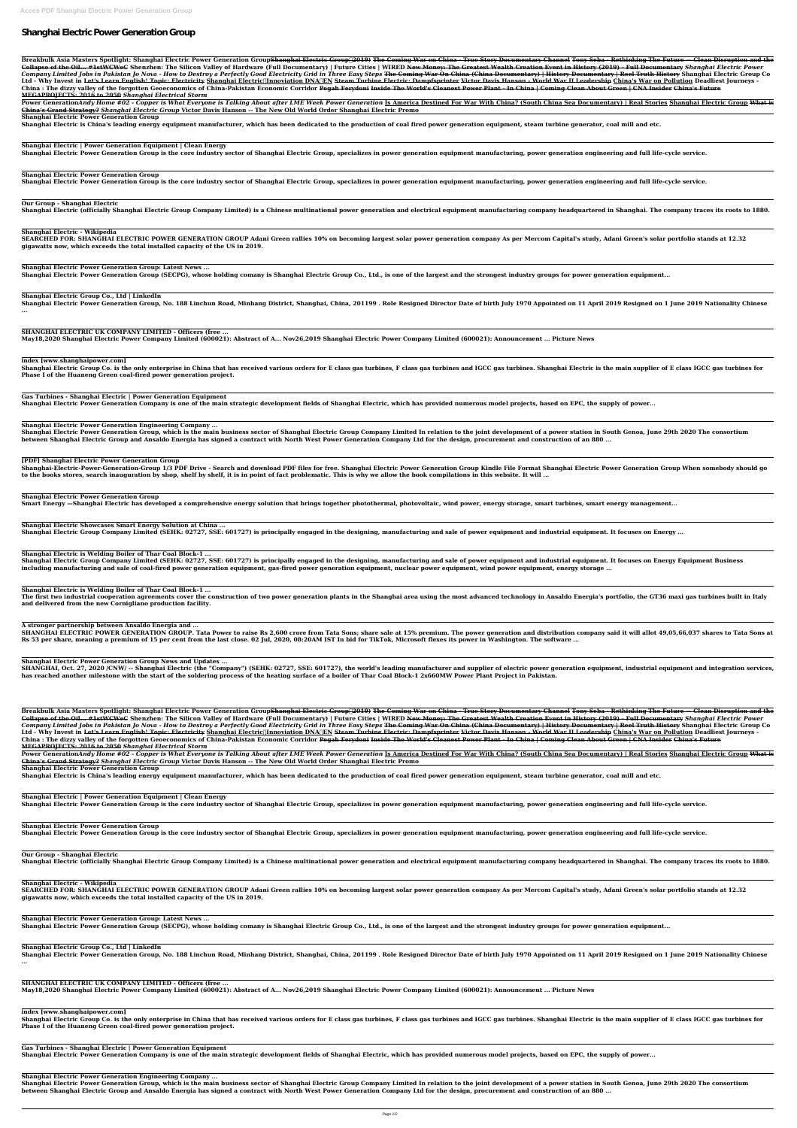# **Shanghai Electric Power Generation Group**

Breakbulk Asia Masters Spotlight: Shanghai Electric Power Generation Group<del>Shanghai Electric Group∏2019) The Coming War on China - True Story Documentary Channel Tony Seba - Rethinking The Future — Clean Disruption and th</del> Collapse of the Oil... #1stWCWeC Shenzhen: The Silicon Valley of Hardware (Full Documentary) | Future Cities | WIRED New Money: The Greatest Wealth Creation Event in History (2019) - Full Documentary Shanghai Electric Powe Company Limited Jobs in Pakistan Jo Nova - How to Destroy a Perfectly Good Electricity Grid in Three Easy Steps <del>The Coming War On China (China Documentary) | History Documentary | Reel Truth History</del> Shanghai Electric Gro Ltd - Why Invest in <del>Let's Learn English! Topic: Electricity</del> Shanghai Electric∏nnoviation DNA∏EN <del>Steam Turbine Electric: Dampfsprinter</del> V<del>ictor Davis Hanson - World War II Leadership</del> China's War on Pollution Deadliest China : The dizzy valley of the forgotten Geoeconomics of China-Pakistan Economic Corridor <del>Pegah Ferydoni Inside The World's Cleanest Power Plant - In China | Coming Clean About Green | CNA Insider China's Future</del> **MEGAPROJECTS: 2016 to 2050** *Shanghai Electrical Storm*

Power GenerationAndy Home #02 - Copper is What Everyone is Talking About after LME Week Power Generation Is America Destined For War With China? (South China Sea Documentary) | Real Stories Shanghai Electric Group What is **China's Grand Strategy?** *Shanghai Electric Group* **Victor Davis Hanson -- The New Old World Order Shanghai Electric Promo**

**Shanghai Electric Power Generation Group**

Shanghai Electric Power Generation Group, No. 188 Linchun Road, Minhang District, Shanghai, China, 201199. Role Resigned Director Date of birth July 1970 Appointed on 11 April 2019 Resigned on 1 June 2019 Nationality Chine **...**

**Shanghai Electric is China's leading energy equipment manufacturer, which has been dedicated to the production of coal fired power generation equipment, steam turbine generator, coal mill and etc.**

**Shanghai Electric | Power Generation Equipment | Clean Energy**

**Shanghai Electric Power Generation Group is the core industry sector of Shanghai Electric Group, specializes in power generation equipment manufacturing, power generation engineering and full life-cycle service.**

Shanghai Electric Group Co. is the only enterprise in China that has received various orders for E class gas turbines, F class gas turbines and IGCC gas turbines. Shanghai Electric is the main supplier of E class IGCC gas **Phase I of the Huaneng Green coal-fired power generation project.**

**Shanghai Electric Power Generation Group**

**Shanghai Electric Power Generation Group is the core industry sector of Shanghai Electric Group, specializes in power generation equipment manufacturing, power generation engineering and full life-cycle service.**

Shanghai Electric Power Generation Group, which is the main business sector of Shanghai Electric Group Company Limited In relation to the joint development of a power station in South Genoa, June 29th 2020 The consortium **between Shanghai Electric Group and Ansaldo Energia has signed a contract with North West Power Generation Company Ltd for the design, procurement and construction of an 880 ...**

**Our Group - Shanghai Electric**

Shanghai Electric (officially Shanghai Electric Group Company Limited) is a Chinese multinational power generation and electrical equipment manufacturing company headquartered in Shanghai. The company traces its roots to 1

Shanghai-Electric-Power-Generation-Group 1/3 PDF Drive - Search and download PDF files for free. Shanghai Electric Power Generation Group Kindle File Format Shanghai Electric Power Generation Group When somebody should go **to the books stores, search inauguration by shop, shelf by shelf, it is in point of fact problematic. This is why we allow the book compilations in this website. It will ...**

**Shanghai Electric - Wikipedia**

**SEARCHED FOR: SHANGHAI ELECTRIC POWER GENERATION GROUP Adani Green rallies 10% on becoming largest solar power generation company As per Mercom Capital's study, Adani Green's solar portfolio stands at 12.32 gigawatts now, which exceeds the total installed capacity of the US in 2019.**

**Shanghai Electric Power Generation Group: Latest News ...**

Shanghai Electric Group Company Limited (SEHK: 02727, SSE: 601727) is principally engaged in the designing, manufacturing and sale of power equipment and industrial equipment. It focuses on Energy Equipment Business **including manufacturing and sale of coal-fired power generation equipment, gas-fired power generation equipment, nuclear power equipment, wind power equipment, energy storage ...**

**Shanghai Electric Power Generation Group (SECPG), whose holding comany is Shanghai Electric Group Co., Ltd., is one of the largest and the strongest industry groups for power generation equipment...**

**Shanghai Electric Group Co., Ltd | LinkedIn**

The first two industrial cooperation agreements cover the construction of two power generation plants in the Shanghai area using the most advanced technology in Ansaldo Energia's portfolio, the GT36 maxi gas turbines built **and delivered from the new Cornigliano production facility.**

SHANGHAI ELECTRIC POWER GENERATION GROUP. Tata Power to raise Rs 2,600 crore from Tata Sons; share sale at 15% premium. The power generation and distribution company said it will allot 49,05,66,037 shares to Tata Sons at **Rs 53 per share, meaning a premium of 15 per cent from the last close. 02 Jul, 2020, 08:20AM IST In bid for TikTok, Microsoft flexes its power in Washington. The software ...**

**SHANGHAI ELECTRIC UK COMPANY LIMITED - Officers (free ...**

**May18,2020 Shanghai Electric Power Company Limited (600021): Abstract of A... Nov26,2019 Shanghai Electric Power Company Limited (600021): Announcement ... Picture News**

SHANGHAI, Oct. 27, 2020 /CNW/ -- Shanghai Electric (the "Company") (SEHK: 02727, SSE: 601727), the world's leading manufacturer and supplier of electric power generation equipment, industrial equipment and integration serv **has reached another milestone with the start of the soldering process of the heating surface of a boiler of Thar Coal Block-1 2x660MW Power Plant Project in Pakistan.**

**index [www.shanghaipower.com]**

**Gas Turbines - Shanghai Electric | Power Generation Equipment**

**Shanghai Electric Power Generation Company is one of the main strategic development fields of Shanghai Electric, which has provided numerous model projects, based on EPC, the supply of power...**

Breakbulk Asia Masters Spotlight: Shanghai Electric Power Generation Group<del>Shanghai Electric Group∏2019) The Coming War on China - True Story Documentary Channel Tony Seba - Rethinking The Future — Clean Disruption and th</del> Collapse of the Oil... #1stWCWeC Shenzhen: The Silicon Valley of Hardware (Full Documentary) | Future Cities | WIRED New Money: The Greatest Wealth Creation Event in History (2019) - Full Documentary Shanghai Electric Powe Company Limited Jobs in Pakistan Jo Nova - How to Destroy a Perfectly Good Electricity Grid in Three Easy Steps <del>The Coming War On China (China Documentary) | History Documentary | Reel Truth History Shanghai Electric Grou</del> Ltd - Why Invest in <del>Let's Learn English! Topic: Electricity</del> Shanghai Electric∏nnoviation DNA∏EN <del>Steam Turbine Electric: Dampfsprinter Victor Davis Hanson - World War II Leadership</del> China's War on Pollution Deadliest Jo China : The dizzy valley of the forgotten Geoeconomics of China-Pakistan Economic Corridor <del>Pegah Ferydoni Inside The World's Cleanest Power Plant - In China | Coming Clean About Green | CNA Insider China's Future</del> **MEGAPROJECTS: 2016 to 2050** *Shanghai Electrical Storm*

Power GenerationAndy Home #02 - Copper is What Everyone is Talking About after LME Week Power Generation Is America Destined For War With China? (South China Sea Documentary) | Real Stories Shanghai Electric Group What is **China's Grand Strategy?** *Shanghai Electric Group* **Victor Davis Hanson -- The New Old World Order Shanghai Electric Promo**

# **[PDF] Shanghai Electric Power Generation Group**

## **Shanghai Electric Power Generation Group**

**Smart Energy —Shanghai Electric has developed a comprehensive energy solution that brings together photothermal, photovoltaic, wind power, energy storage, smart turbines, smart energy management...**

Shanghai Electric Power Generation Group, No. 188 Linchun Road, Minhang District, Shanghai, China, 201199. Role Resigned Director Date of birth July 1970 Appointed on 11 April 2019 Resigned on 1 June 2019 Nationality Chine **...**

**Shanghai Electric Showcases Smart Energy Solution at China ...**

**Shanghai Electric Group Company Limited (SEHK: 02727, SSE: 601727) is principally engaged in the designing, manufacturing and sale of power equipment and industrial equipment. It focuses on Energy ...**

Shanghai Electric Group Co. is the only enterprise in China that has received various orders for E class gas turbines, F class gas turbines and IGCC gas turbines. Shanghai Electric is the main supplier of E class IGCC gas **Phase I of the Huaneng Green coal-fired power generation project.**

**Shanghai Electric is Welding Boiler of Thar Coal Block-1 ...**

Shanghai Electric Power Generation Group, which is the main business sector of Shanghai Electric Group Company Limited In relation to the joint development of a power station in South Genoa, June 29th 2020 The consortium **between Shanghai Electric Group and Ansaldo Energia has signed a contract with North West Power Generation Company Ltd for the design, procurement and construction of an 880 ...**

**Shanghai Electric is Welding Boiler of Thar Coal Block-1 ...**

**A stronger partnership between Ansaldo Energia and ...**

**Shanghai Electric Power Generation Group News and Updates ...**

**Shanghai Electric Power Generation Group**

**Shanghai Electric is China's leading energy equipment manufacturer, which has been dedicated to the production of coal fired power generation equipment, steam turbine generator, coal mill and etc.**

**Shanghai Electric | Power Generation Equipment | Clean Energy**

**Shanghai Electric Power Generation Group is the core industry sector of Shanghai Electric Group, specializes in power generation equipment manufacturing, power generation engineering and full life-cycle service.**

**Shanghai Electric Power Generation Group**

**Shanghai Electric Power Generation Group is the core industry sector of Shanghai Electric Group, specializes in power generation equipment manufacturing, power generation engineering and full life-cycle service.**

### **Our Group - Shanghai Electric**

Shanghai Electric (officially Shanghai Electric Group Company Limited) is a Chinese multinational power generation and electrical equipment manufacturing company headquartered in Shanghai. The company traces its roots to 1

# **Shanghai Electric - Wikipedia**

**SEARCHED FOR: SHANGHAI ELECTRIC POWER GENERATION GROUP Adani Green rallies 10% on becoming largest solar power generation company As per Mercom Capital's study, Adani Green's solar portfolio stands at 12.32 gigawatts now, which exceeds the total installed capacity of the US in 2019.**

**Shanghai Electric Power Generation Group: Latest News ... Shanghai Electric Power Generation Group (SECPG), whose holding comany is Shanghai Electric Group Co., Ltd., is one of the largest and the strongest industry groups for power generation equipment...**

# **Shanghai Electric Group Co., Ltd | LinkedIn**

**SHANGHAI ELECTRIC UK COMPANY LIMITED - Officers (free ...**

**May18,2020 Shanghai Electric Power Company Limited (600021): Abstract of A... Nov26,2019 Shanghai Electric Power Company Limited (600021): Announcement ... Picture News**

**index [www.shanghaipower.com]**

**Gas Turbines - Shanghai Electric | Power Generation Equipment Shanghai Electric Power Generation Company is one of the main strategic development fields of Shanghai Electric, which has provided numerous model projects, based on EPC, the supply of power...**

**Shanghai Electric Power Generation Engineering Company ...**